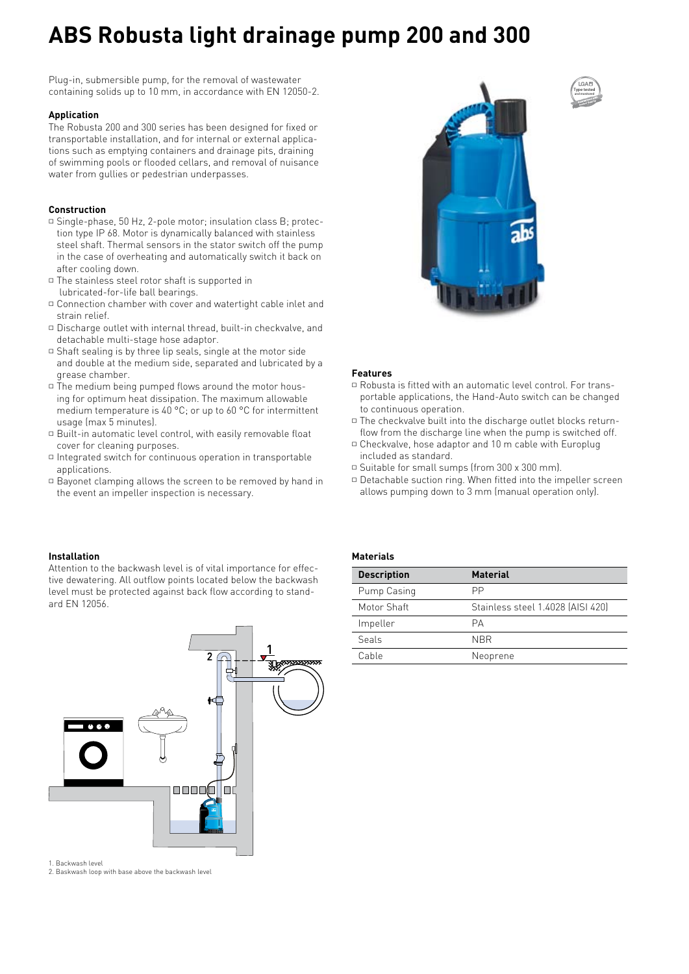# **ABS Robusta light drainage pump 200 and 300**

Plug-in, submersible pump, for the removal of wastewater containing solids up to 10 mm, in accordance with EN 12050-2.

## **Application**

The Robusta 200 and 300 series has been designed for fixed or transportable installation, and for internal or external applications such as emptying containers and drainage pits, draining of swimming pools or flooded cellars, and removal of nuisance water from gullies or pedestrian underpasses.

## **Construction**

- \* Single-phase, 50 Hz, 2-pole motor; insulation class B; protection type IP 68. Motor is dynamically balanced with stainless steel shaft. Thermal sensors in the stator switch off the pump in the case of overheating and automatically switch it back on after cooling down.
- $\Box$  The stainless steel rotor shaft is supported in lubricated-for-life ball bearings.
- $\Box$  Connection chamber with cover and watertight cable inlet and strain relief.
- $\Box$  Discharge outlet with internal thread, built-in checkvalve, and detachable multi-stage hose adaptor.
- $\Box$  Shaft sealing is by three lip seals, single at the motor side and double at the medium side, separated and lubricated by a grease chamber.
- $\overline{\phantom{a}}$  The medium being pumped flows around the motor housing for optimum heat dissipation. The maximum allowable medium temperature is 40 °C; or up to 60 °C for intermittent usage (max 5 minutes).
- $\Box$  Built-in automatic level control, with easily removable float cover for cleaning purposes.
- $\Box$  Integrated switch for continuous operation in transportable applications.
- $\Box$  Bayonet clamping allows the screen to be removed by hand in the event an impeller inspection is necessary.



**Type tested and monitored**

#### **Features**

- $\Box$  Robusta is fitted with an automatic level control. For transportable applications, the Hand-Auto switch can be changed to continuous operation.
- $\Box$  The checkvalve built into the discharge outlet blocks returnflow from the discharge line when the pump is switched off.
- $\Box$  Checkvalve, hose adaptor and 10 m cable with Europlug included as standard.
- □ Suitable for small sumps (from 300 x 300 mm).
- $\Box$  Detachable suction ring. When fitted into the impeller screen allows pumping down to 3 mm (manual operation only).

#### **Installation**

Attention to the backwash level is of vital importance for effective dewatering. All outflow points located below the backwash level must be protected against back flow according to standard EN 12056.



**Materials**

| <b>Description</b> | <b>Material</b>                   |
|--------------------|-----------------------------------|
| Pump Casing        | РP                                |
| Motor Shaft        | Stainless steel 1.4028 (AISI 420) |
| Impeller           | PА                                |
| Seals              | <b>NBR</b>                        |
| Cable              | Neoprene                          |

1. Backwash level

2. Baskwash loop with base above the backwash level